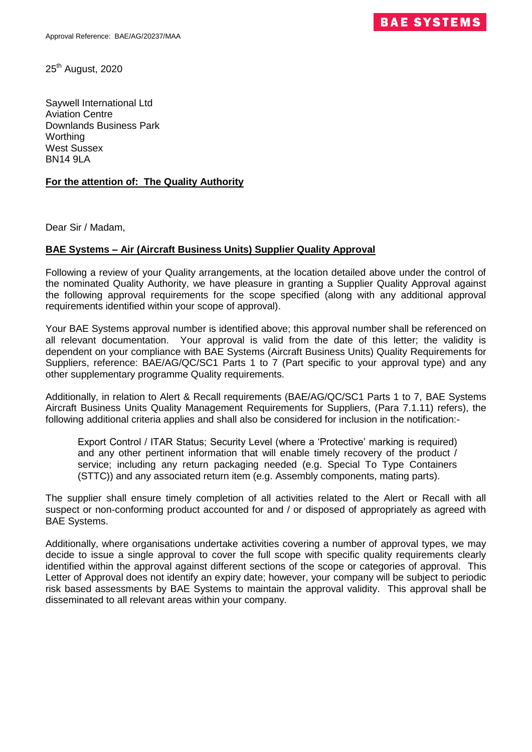25<sup>th</sup> August, 2020

Saywell International Ltd Aviation Centre Downlands Business Park Worthing West Sussex **BN14 9LA** 

## **For the attention of: The Quality Authority**

Dear Sir / Madam,

## **BAE Systems – Air (Aircraft Business Units) Supplier Quality Approval**

Following a review of your Quality arrangements, at the location detailed above under the control of the nominated Quality Authority, we have pleasure in granting a Supplier Quality Approval against the following approval requirements for the scope specified (along with any additional approval requirements identified within your scope of approval).

Your BAE Systems approval number is identified above; this approval number shall be referenced on all relevant documentation. Your approval is valid from the date of this letter; the validity is dependent on your compliance with BAE Systems (Aircraft Business Units) Quality Requirements for Suppliers, reference: BAE/AG/QC/SC1 Parts 1 to 7 (Part specific to your approval type) and any other supplementary programme Quality requirements.

Additionally, in relation to Alert & Recall requirements (BAE/AG/QC/SC1 Parts 1 to 7, BAE Systems Aircraft Business Units Quality Management Requirements for Suppliers, (Para 7.1.11) refers), the following additional criteria applies and shall also be considered for inclusion in the notification:-

Export Control / ITAR Status; Security Level (where a 'Protective' marking is required) and any other pertinent information that will enable timely recovery of the product / service; including any return packaging needed (e.g. Special To Type Containers (STTC)) and any associated return item (e.g. Assembly components, mating parts).

The supplier shall ensure timely completion of all activities related to the Alert or Recall with all suspect or non-conforming product accounted for and / or disposed of appropriately as agreed with BAE Systems.

Additionally, where organisations undertake activities covering a number of approval types, we may decide to issue a single approval to cover the full scope with specific quality requirements clearly identified within the approval against different sections of the scope or categories of approval. This Letter of Approval does not identify an expiry date; however, your company will be subject to periodic risk based assessments by BAE Systems to maintain the approval validity. This approval shall be disseminated to all relevant areas within your company.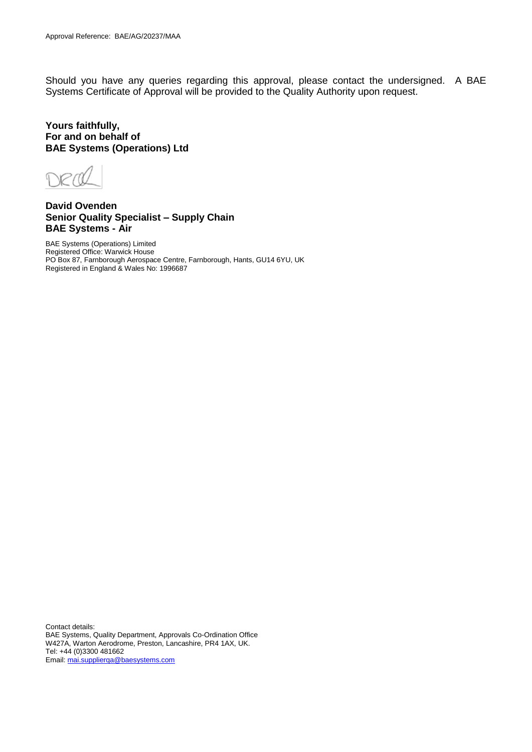Should you have any queries regarding this approval, please contact the undersigned. A BAE Systems Certificate of Approval will be provided to the Quality Authority upon request.

**Yours faithfully, For and on behalf of BAE Systems (Operations) Ltd**

**David Ovenden Senior Quality Specialist – Supply Chain BAE Systems - Air**

BAE Systems (Operations) Limited Registered Office: Warwick House PO Box 87, Farnborough Aerospace Centre, Farnborough, Hants, GU14 6YU, UK Registered in England & Wales No: 1996687

Contact details: BAE Systems, Quality Department, Approvals Co-Ordination Office W427A, Warton Aerodrome, Preston, Lancashire, PR4 1AX, UK. Tel: +44 (0)3300 481662 Email[: mai.supplierqa@baesystems.com](mailto:mai.supplierqa@baesystems.com)